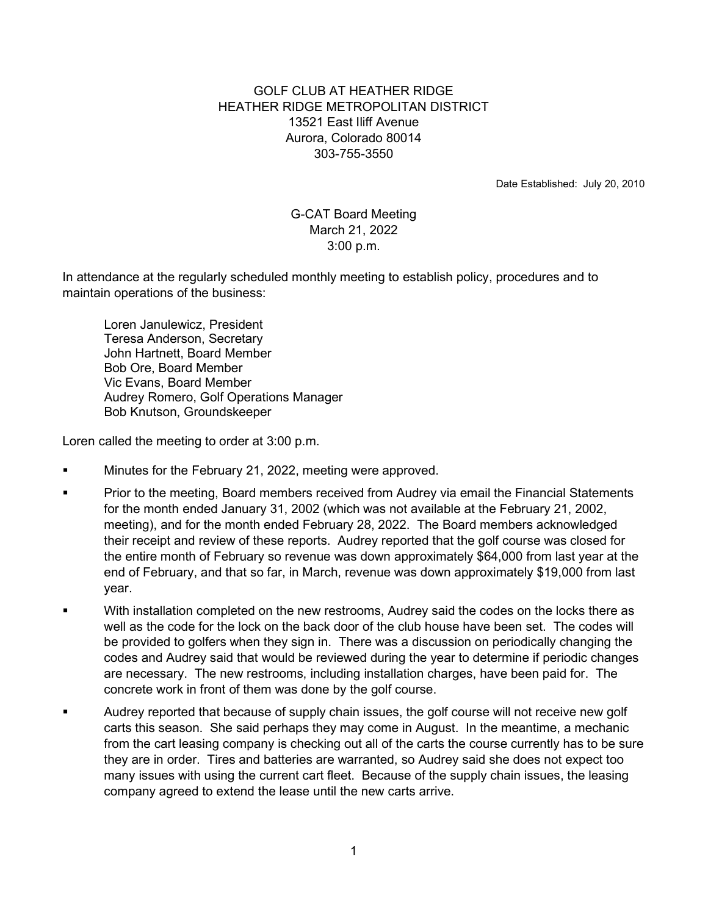## GOLF CLUB AT HEATHER RIDGE HEATHER RIDGE METROPOLITAN DISTRICT 13521 East Iliff Avenue Aurora, Colorado 80014 303-755-3550

Date Established: July 20, 2010

## G-CAT Board Meeting March 21, 2022 3:00 p.m.

In attendance at the regularly scheduled monthly meeting to establish policy, procedures and to maintain operations of the business:

 Loren Janulewicz, President Teresa Anderson, Secretary John Hartnett, Board Member Bob Ore, Board Member Vic Evans, Board Member Audrey Romero, Golf Operations Manager Bob Knutson, Groundskeeper

Loren called the meeting to order at 3:00 p.m.

- Minutes for the February 21, 2022, meeting were approved.
- Prior to the meeting, Board members received from Audrey via email the Financial Statements for the month ended January 31, 2002 (which was not available at the February 21, 2002, meeting), and for the month ended February 28, 2022. The Board members acknowledged their receipt and review of these reports. Audrey reported that the golf course was closed for the entire month of February so revenue was down approximately \$64,000 from last year at the end of February, and that so far, in March, revenue was down approximately \$19,000 from last year.
- With installation completed on the new restrooms, Audrey said the codes on the locks there as well as the code for the lock on the back door of the club house have been set. The codes will be provided to golfers when they sign in. There was a discussion on periodically changing the codes and Audrey said that would be reviewed during the year to determine if periodic changes are necessary. The new restrooms, including installation charges, have been paid for. The concrete work in front of them was done by the golf course.
- Audrey reported that because of supply chain issues, the golf course will not receive new golf carts this season. She said perhaps they may come in August. In the meantime, a mechanic from the cart leasing company is checking out all of the carts the course currently has to be sure they are in order. Tires and batteries are warranted, so Audrey said she does not expect too many issues with using the current cart fleet. Because of the supply chain issues, the leasing company agreed to extend the lease until the new carts arrive.